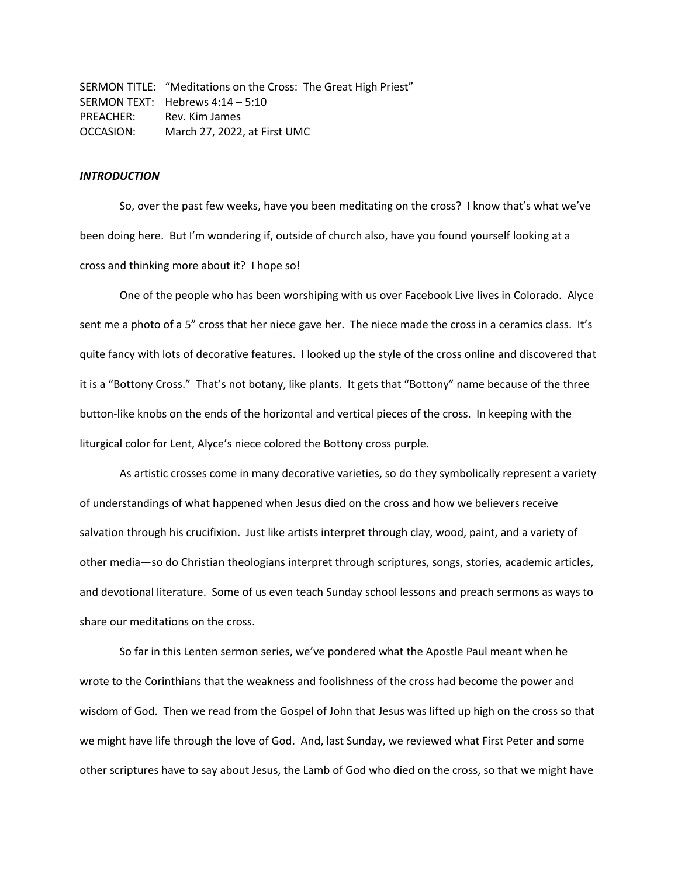SERMON TITLE: "Meditations on the Cross: The Great High Priest" SERMON TEXT: Hebrews 4:14 – 5:10 PREACHER: Rev. Kim James OCCASION: March 27, 2022, at First UMC

# *INTRODUCTION*

So, over the past few weeks, have you been meditating on the cross? I know that's what we've been doing here. But I'm wondering if, outside of church also, have you found yourself looking at a cross and thinking more about it? I hope so!

One of the people who has been worshiping with us over Facebook Live lives in Colorado. Alyce sent me a photo of a 5" cross that her niece gave her. The niece made the cross in a ceramics class. It's quite fancy with lots of decorative features. I looked up the style of the cross online and discovered that it is a "Bottony Cross." That's not botany, like plants. It gets that "Bottony" name because of the three button-like knobs on the ends of the horizontal and vertical pieces of the cross. In keeping with the liturgical color for Lent, Alyce's niece colored the Bottony cross purple.

As artistic crosses come in many decorative varieties, so do they symbolically represent a variety of understandings of what happened when Jesus died on the cross and how we believers receive salvation through his crucifixion. Just like artists interpret through clay, wood, paint, and a variety of other media—so do Christian theologians interpret through scriptures, songs, stories, academic articles, and devotional literature. Some of us even teach Sunday school lessons and preach sermons as ways to share our meditations on the cross.

So far in this Lenten sermon series, we've pondered what the Apostle Paul meant when he wrote to the Corinthians that the weakness and foolishness of the cross had become the power and wisdom of God. Then we read from the Gospel of John that Jesus was lifted up high on the cross so that we might have life through the love of God. And, last Sunday, we reviewed what First Peter and some other scriptures have to say about Jesus, the Lamb of God who died on the cross, so that we might have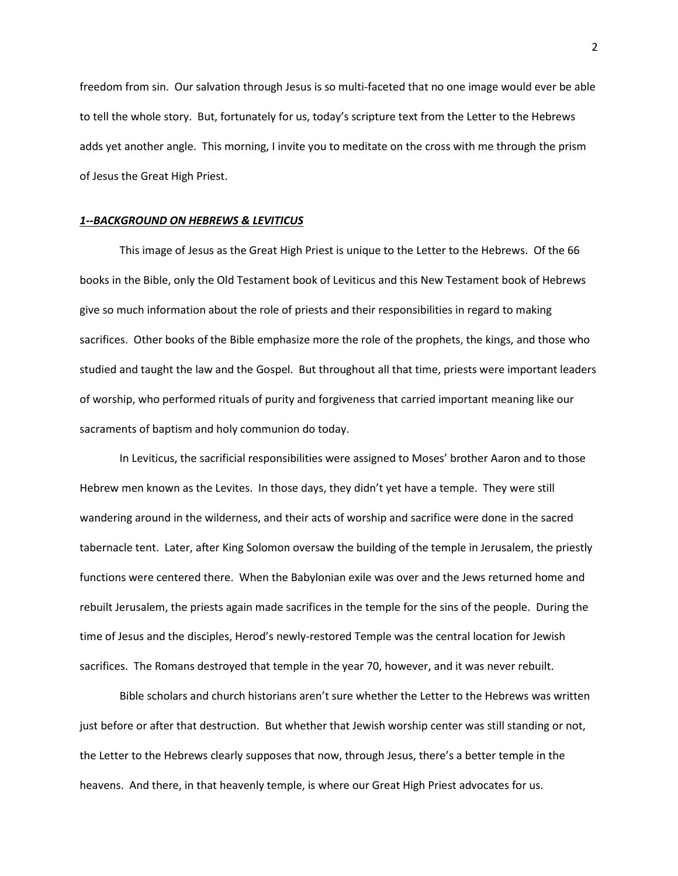freedom from sin. Our salvation through Jesus is so multi-faceted that no one image would ever be able to tell the whole story. But, fortunately for us, today's scripture text from the Letter to the Hebrews adds yet another angle. This morning, I invite you to meditate on the cross with me through the prism of Jesus the Great High Priest.

#### *1--BACKGROUND ON HEBREWS & LEVITICUS*

This image of Jesus as the Great High Priest is unique to the Letter to the Hebrews. Of the 66 books in the Bible, only the Old Testament book of Leviticus and this New Testament book of Hebrews give so much information about the role of priests and their responsibilities in regard to making sacrifices. Other books of the Bible emphasize more the role of the prophets, the kings, and those who studied and taught the law and the Gospel. But throughout all that time, priests were important leaders of worship, who performed rituals of purity and forgiveness that carried important meaning like our sacraments of baptism and holy communion do today.

In Leviticus, the sacrificial responsibilities were assigned to Moses' brother Aaron and to those Hebrew men known as the Levites. In those days, they didn't yet have a temple. They were still wandering around in the wilderness, and their acts of worship and sacrifice were done in the sacred tabernacle tent. Later, after King Solomon oversaw the building of the temple in Jerusalem, the priestly functions were centered there. When the Babylonian exile was over and the Jews returned home and rebuilt Jerusalem, the priests again made sacrifices in the temple for the sins of the people. During the time of Jesus and the disciples, Herod's newly-restored Temple was the central location for Jewish sacrifices. The Romans destroyed that temple in the year 70, however, and it was never rebuilt.

Bible scholars and church historians aren't sure whether the Letter to the Hebrews was written just before or after that destruction. But whether that Jewish worship center was still standing or not, the Letter to the Hebrews clearly supposes that now, through Jesus, there's a better temple in the heavens. And there, in that heavenly temple, is where our Great High Priest advocates for us.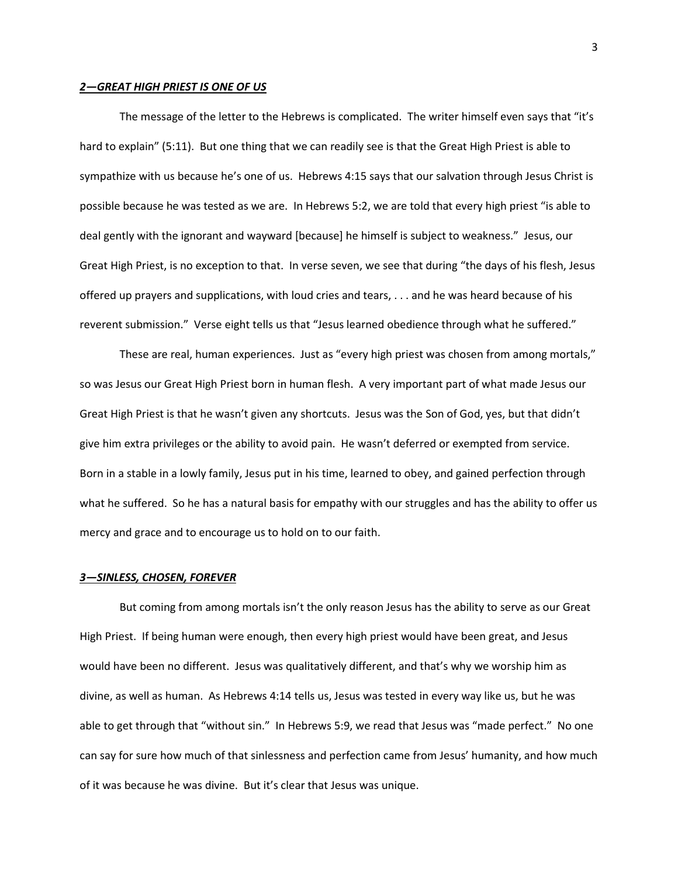### *2—GREAT HIGH PRIEST IS ONE OF US*

The message of the letter to the Hebrews is complicated. The writer himself even says that "it's hard to explain" (5:11). But one thing that we can readily see is that the Great High Priest is able to sympathize with us because he's one of us. Hebrews 4:15 says that our salvation through Jesus Christ is possible because he was tested as we are. In Hebrews 5:2, we are told that every high priest "is able to deal gently with the ignorant and wayward [because] he himself is subject to weakness." Jesus, our Great High Priest, is no exception to that. In verse seven, we see that during "the days of his flesh, Jesus offered up prayers and supplications, with loud cries and tears, . . . and he was heard because of his reverent submission." Verse eight tells us that "Jesus learned obedience through what he suffered."

These are real, human experiences. Just as "every high priest was chosen from among mortals," so was Jesus our Great High Priest born in human flesh. A very important part of what made Jesus our Great High Priest is that he wasn't given any shortcuts. Jesus was the Son of God, yes, but that didn't give him extra privileges or the ability to avoid pain. He wasn't deferred or exempted from service. Born in a stable in a lowly family, Jesus put in his time, learned to obey, and gained perfection through what he suffered. So he has a natural basis for empathy with our struggles and has the ability to offer us mercy and grace and to encourage us to hold on to our faith.

## *3—SINLESS, CHOSEN, FOREVER*

But coming from among mortals isn't the only reason Jesus has the ability to serve as our Great High Priest. If being human were enough, then every high priest would have been great, and Jesus would have been no different. Jesus was qualitatively different, and that's why we worship him as divine, as well as human. As Hebrews 4:14 tells us, Jesus was tested in every way like us, but he was able to get through that "without sin." In Hebrews 5:9, we read that Jesus was "made perfect." No one can say for sure how much of that sinlessness and perfection came from Jesus' humanity, and how much of it was because he was divine. But it's clear that Jesus was unique.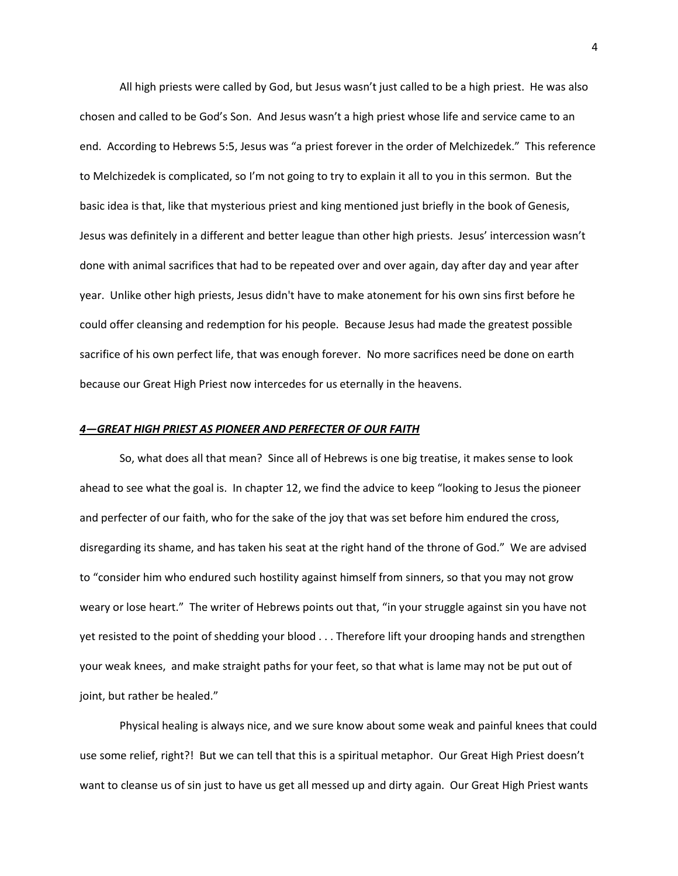All high priests were called by God, but Jesus wasn't just called to be a high priest. He was also chosen and called to be God's Son. And Jesus wasn't a high priest whose life and service came to an end. According to Hebrews 5:5, Jesus was "a priest forever in the order of Melchizedek." This reference to Melchizedek is complicated, so I'm not going to try to explain it all to you in this sermon. But the basic idea is that, like that mysterious priest and king mentioned just briefly in the book of Genesis, Jesus was definitely in a different and better league than other high priests. Jesus' intercession wasn't done with animal sacrifices that had to be repeated over and over again, day after day and year after year. Unlike other high priests, Jesus didn't have to make atonement for his own sins first before he could offer cleansing and redemption for his people. Because Jesus had made the greatest possible sacrifice of his own perfect life, that was enough forever. No more sacrifices need be done on earth because our Great High Priest now intercedes for us eternally in the heavens.

# *4—GREAT HIGH PRIEST AS PIONEER AND PERFECTER OF OUR FAITH*

So, what does all that mean? Since all of Hebrews is one big treatise, it makes sense to look ahead to see what the goal is. In chapter 12, we find the advice to keep "looking to Jesus the pioneer and perfecter of our faith, who for the sake of the joy that was set before him endured the cross, disregarding its shame, and has taken his seat at the right hand of the throne of God." We are advised to "consider him who endured such hostility against himself from sinners, so that you may not grow weary or lose heart." The writer of Hebrews points out that, "in your struggle against sin you have not yet resisted to the point of shedding your blood . . . Therefore lift your drooping hands and strengthen your weak knees, and make straight paths for your feet, so that what is lame may not be put out of joint, but rather be healed."

Physical healing is always nice, and we sure know about some weak and painful knees that could use some relief, right?! But we can tell that this is a spiritual metaphor. Our Great High Priest doesn't want to cleanse us of sin just to have us get all messed up and dirty again. Our Great High Priest wants